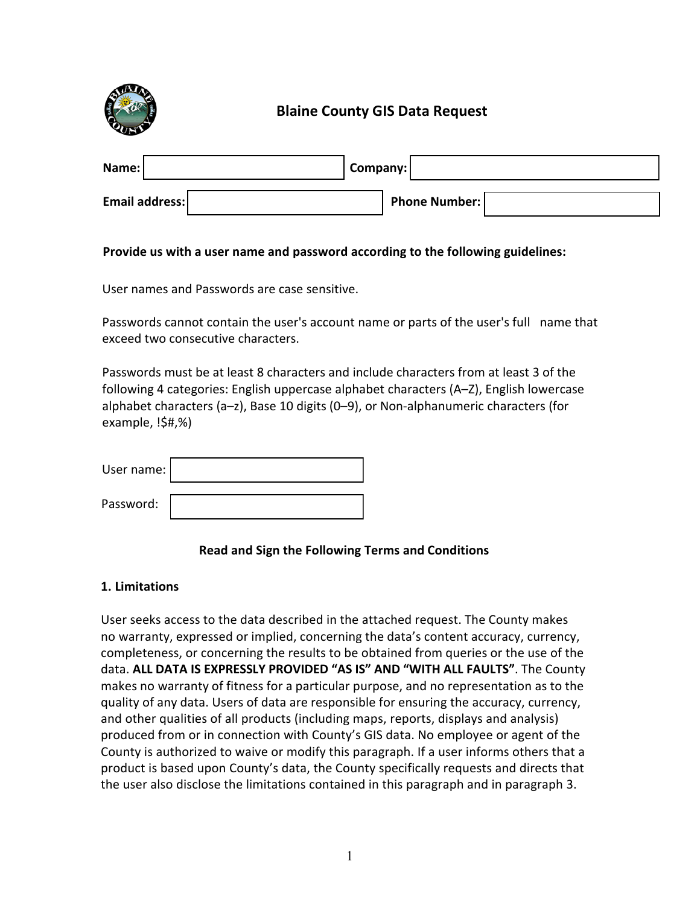

# **Blaine County GIS Data Request**

| Name:          | Company: |                      |  |
|----------------|----------|----------------------|--|
| Email address: |          | <b>Phone Number:</b> |  |

### **Provide us with a user name and password according to the following guidelines:**

User names and Passwords are case sensitive.

Passwords cannot contain the user's account name or parts of the user's full name that exceed two consecutive characters.

Passwords must be at least 8 characters and include characters from at least 3 of the following 4 categories: English uppercase alphabet characters (A–Z), English lowercase alphabet characters (a–z), Base 10 digits (0–9), or Non-alphanumeric characters (for example, !\$#,%)

| User name: |  |
|------------|--|
| Password:  |  |

# **Read and Sign the Following Terms and Conditions**

#### **1. Limitations**

User seeks access to the data described in the attached request. The County makes no warranty, expressed or implied, concerning the data's content accuracy, currency, completeness, or concerning the results to be obtained from queries or the use of the data. **ALL DATA IS EXPRESSLY PROVIDED "AS IS" AND "WITH ALL FAULTS"**. The County makes no warranty of fitness for a particular purpose, and no representation as to the quality of any data. Users of data are responsible for ensuring the accuracy, currency, and other qualities of all products (including maps, reports, displays and analysis) produced from or in connection with County's GIS data. No employee or agent of the County is authorized to waive or modify this paragraph. If a user informs others that a product is based upon County's data, the County specifically requests and directs that the user also disclose the limitations contained in this paragraph and in paragraph 3.